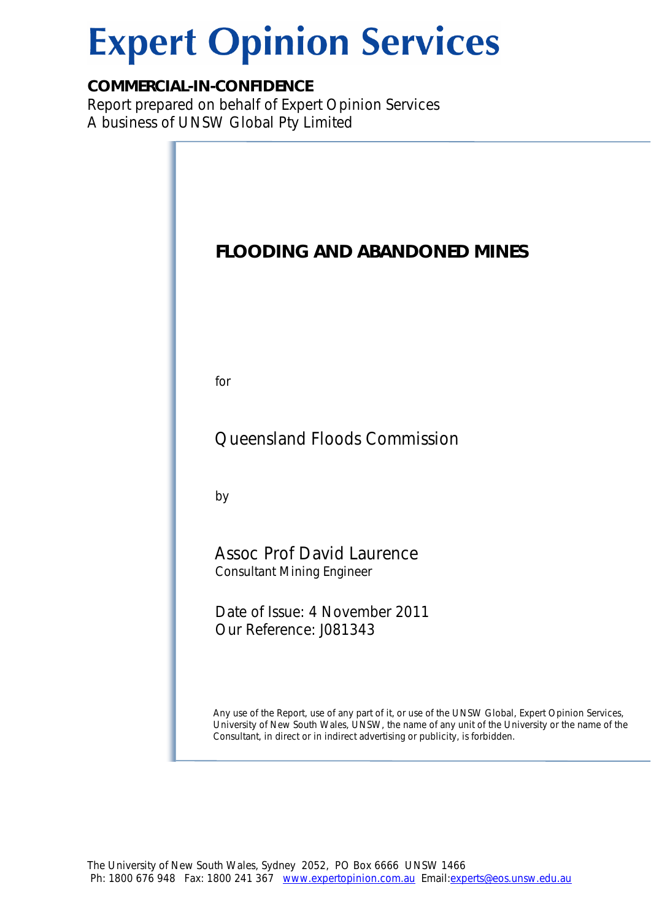# **Expert Opinion Services**

# *COMMERCIAL-IN-CONFIDENCE*

Report prepared on behalf of Expert Opinion Services A business of UNSW Global Pty Limited

| <b>FLOODING AND ABANDONED MINES</b>                                                                                                                                                                                                                                                 |
|-------------------------------------------------------------------------------------------------------------------------------------------------------------------------------------------------------------------------------------------------------------------------------------|
| for                                                                                                                                                                                                                                                                                 |
| Queensland Floods Commission                                                                                                                                                                                                                                                        |
| by                                                                                                                                                                                                                                                                                  |
| <b>Assoc Prof David Laurence</b><br><b>Consultant Mining Engineer</b>                                                                                                                                                                                                               |
| Date of Issue: 4 November 2011<br>Our Reference: J081343                                                                                                                                                                                                                            |
| Any use of the Report, use of any part of it, or use of the UNSW Global, Expert Opinion Services,<br>University of New South Wales, UNSW, the name of any unit of the University or the name of the<br>Consultant, in direct or in indirect advertising or publicity, is forbidden. |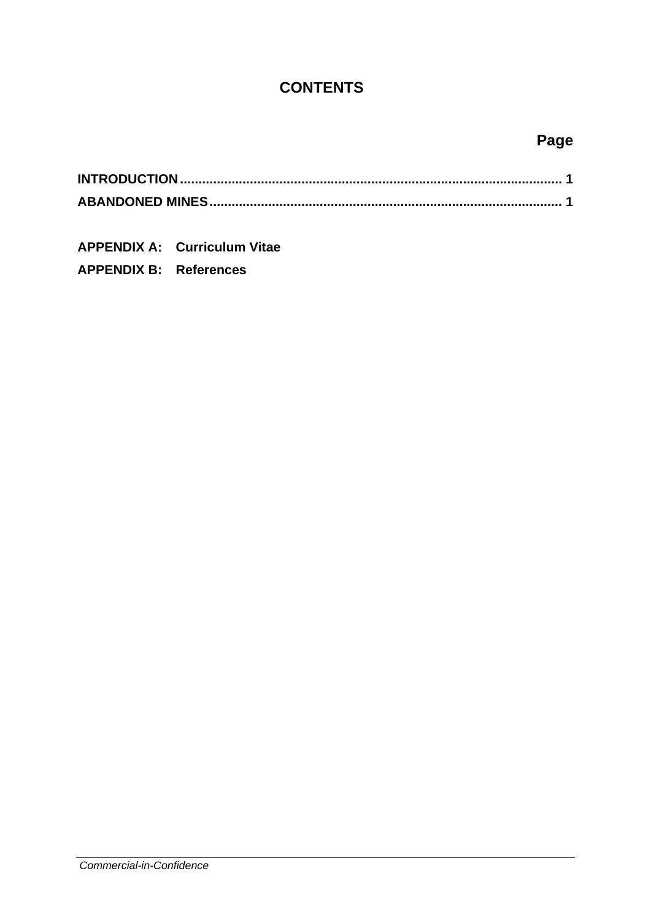## **CONTENTS**

# **Page**

**APPENDIX A: Curriculum Vitae APPENDIX B: References** 

*Commercial-in-Confidence*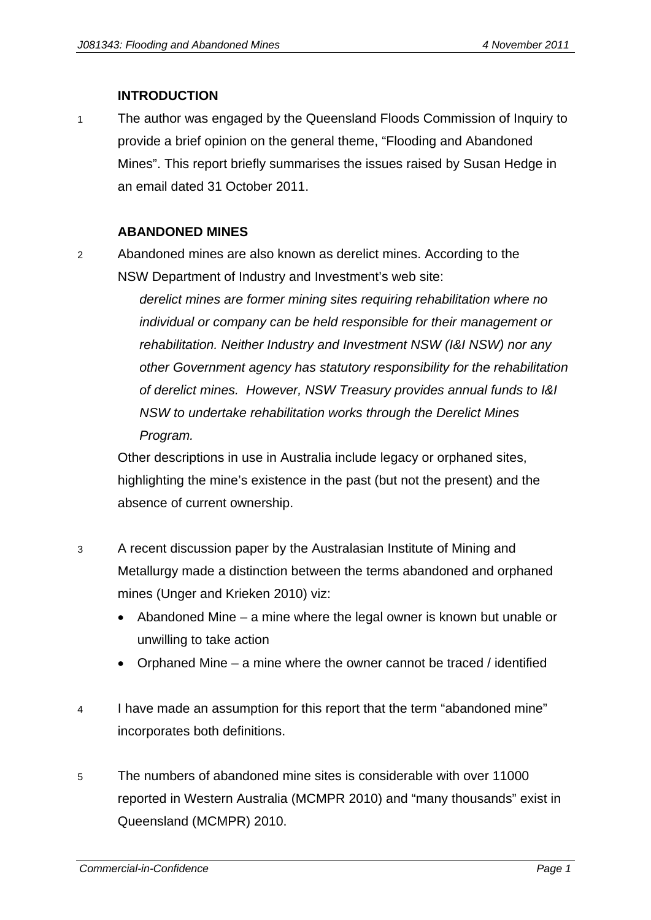#### **INTRODUCTION**

1 The author was engaged by the Queensland Floods Commission of Inquiry to provide a brief opinion on the general theme, "Flooding and Abandoned Mines". This report briefly summarises the issues raised by Susan Hedge in an email dated 31 October 2011.

#### **ABANDONED MINES**

2 Abandoned mines are also known as derelict mines. According to the NSW Department of Industry and Investment's web site:

> *derelict mines are former mining sites requiring rehabilitation where no individual or company can be held responsible for their management or rehabilitation. Neither Industry and Investment NSW (I&I NSW) nor any other Government agency has statutory responsibility for the rehabilitation of derelict mines. However, NSW Treasury provides annual funds to I&I NSW to undertake rehabilitation works through the Derelict Mines Program.*

Other descriptions in use in Australia include legacy or orphaned sites, highlighting the mine's existence in the past (but not the present) and the absence of current ownership.

- 3 A recent discussion paper by the Australasian Institute of Mining and Metallurgy made a distinction between the terms abandoned and orphaned mines (Unger and Krieken 2010) viz:
	- Abandoned Mine a mine where the legal owner is known but unable or unwilling to take action
	- Orphaned Mine a mine where the owner cannot be traced / identified
- 4 I have made an assumption for this report that the term "abandoned mine" incorporates both definitions.
- 5 The numbers of abandoned mine sites is considerable with over 11000 reported in Western Australia (MCMPR 2010) and "many thousands" exist in Queensland (MCMPR) 2010.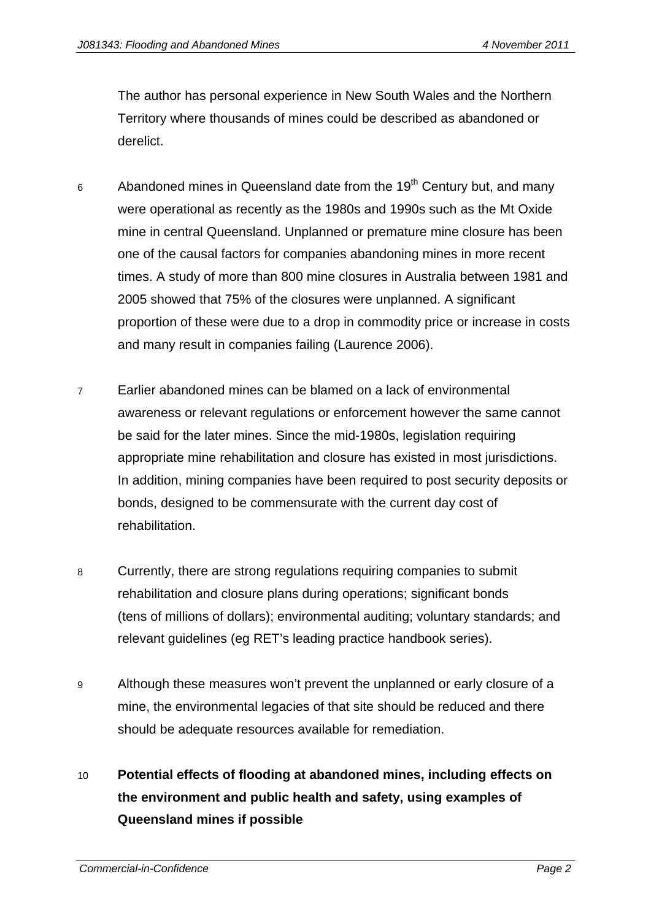The author has personal experience in New South Wales and the Northern Territory where thousands of mines could be described as abandoned or derelict.

- 6 Abandoned mines in Queensland date from the  $19<sup>th</sup>$  Century but, and many were operational as recently as the 1980s and 1990s such as the Mt Oxide mine in central Queensland. Unplanned or premature mine closure has been one of the causal factors for companies abandoning mines in more recent times. A study of more than 800 mine closures in Australia between 1981 and 2005 showed that 75% of the closures were unplanned. A significant proportion of these were due to a drop in commodity price or increase in costs and many result in companies failing (Laurence 2006).
- 7 Earlier abandoned mines can be blamed on a lack of environmental awareness or relevant regulations or enforcement however the same cannot be said for the later mines. Since the mid-1980s, legislation requiring appropriate mine rehabilitation and closure has existed in most jurisdictions. In addition, mining companies have been required to post security deposits or bonds, designed to be commensurate with the current day cost of rehabilitation.
- 8 Currently, there are strong regulations requiring companies to submit rehabilitation and closure plans during operations; significant bonds (tens of millions of dollars); environmental auditing; voluntary standards; and relevant guidelines (eg RET's leading practice handbook series).
- 9 Although these measures won't prevent the unplanned or early closure of a mine, the environmental legacies of that site should be reduced and there should be adequate resources available for remediation.

# 10 **Potential effects of flooding at abandoned mines, including effects on the environment and public health and safety, using examples of Queensland mines if possible**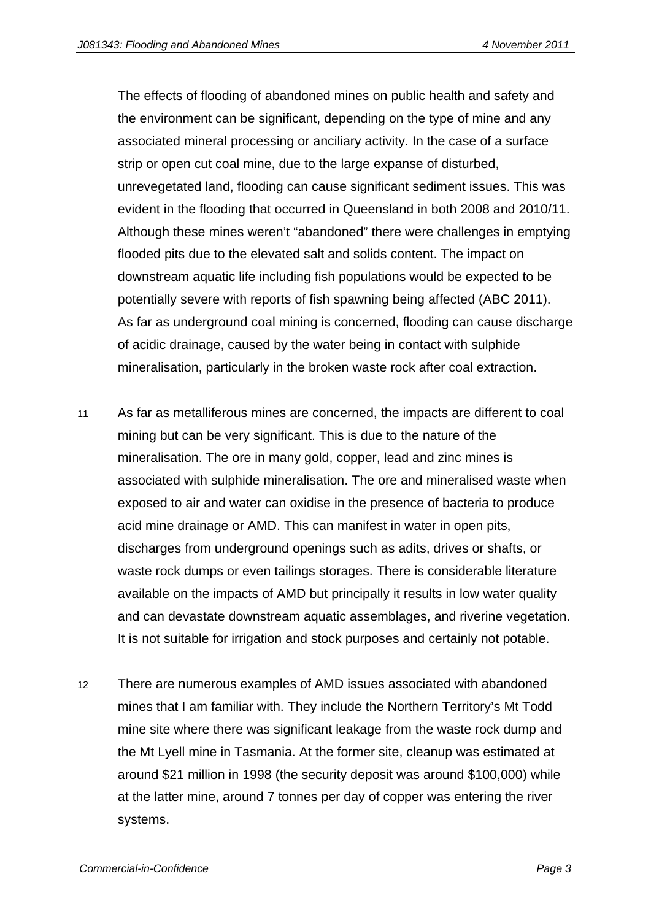The effects of flooding of abandoned mines on public health and safety and the environment can be significant, depending on the type of mine and any associated mineral processing or anciliary activity. In the case of a surface strip or open cut coal mine, due to the large expanse of disturbed, unrevegetated land, flooding can cause significant sediment issues. This was evident in the flooding that occurred in Queensland in both 2008 and 2010/11. Although these mines weren't "abandoned" there were challenges in emptying flooded pits due to the elevated salt and solids content. The impact on downstream aquatic life including fish populations would be expected to be potentially severe with reports of fish spawning being affected (ABC 2011). As far as underground coal mining is concerned, flooding can cause discharge of acidic drainage, caused by the water being in contact with sulphide mineralisation, particularly in the broken waste rock after coal extraction.

- 11 As far as metalliferous mines are concerned, the impacts are different to coal mining but can be very significant. This is due to the nature of the mineralisation. The ore in many gold, copper, lead and zinc mines is associated with sulphide mineralisation. The ore and mineralised waste when exposed to air and water can oxidise in the presence of bacteria to produce acid mine drainage or AMD. This can manifest in water in open pits, discharges from underground openings such as adits, drives or shafts, or waste rock dumps or even tailings storages. There is considerable literature available on the impacts of AMD but principally it results in low water quality and can devastate downstream aquatic assemblages, and riverine vegetation. It is not suitable for irrigation and stock purposes and certainly not potable.
- 12 There are numerous examples of AMD issues associated with abandoned mines that I am familiar with. They include the Northern Territory's Mt Todd mine site where there was significant leakage from the waste rock dump and the Mt Lyell mine in Tasmania. At the former site, cleanup was estimated at around \$21 million in 1998 (the security deposit was around \$100,000) while at the latter mine, around 7 tonnes per day of copper was entering the river systems.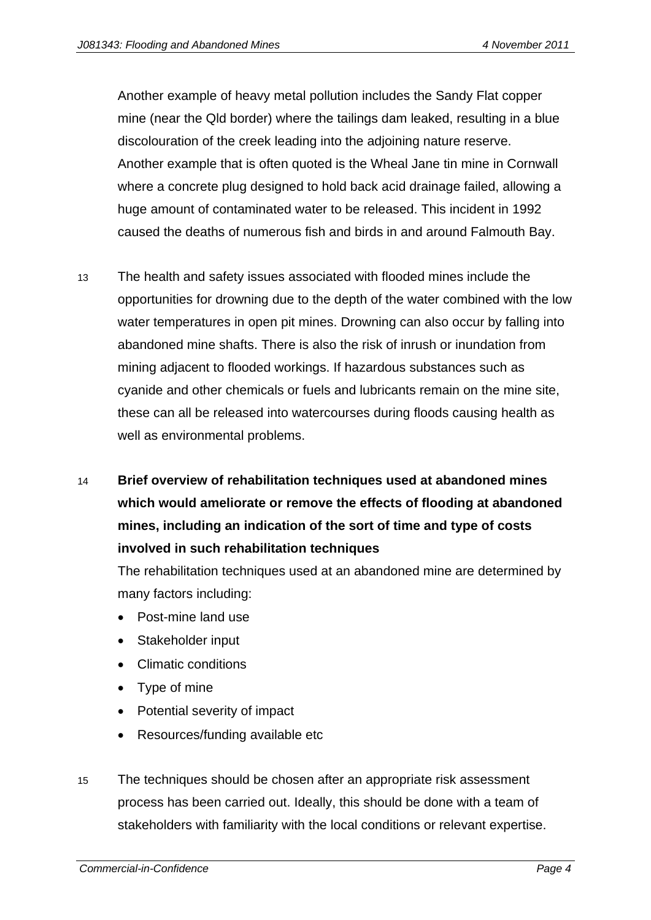Another example of heavy metal pollution includes the Sandy Flat copper mine (near the Qld border) where the tailings dam leaked, resulting in a blue discolouration of the creek leading into the adjoining nature reserve. Another example that is often quoted is the Wheal Jane tin mine in Cornwall where a concrete plug designed to hold back acid drainage failed, allowing a huge amount of contaminated water to be released. This incident in 1992 caused the deaths of numerous fish and birds in and around Falmouth Bay.

- 13 The health and safety issues associated with flooded mines include the opportunities for drowning due to the depth of the water combined with the low water temperatures in open pit mines. Drowning can also occur by falling into abandoned mine shafts. There is also the risk of inrush or inundation from mining adjacent to flooded workings. If hazardous substances such as cyanide and other chemicals or fuels and lubricants remain on the mine site, these can all be released into watercourses during floods causing health as well as environmental problems.
- 14 **Brief overview of rehabilitation techniques used at abandoned mines which would ameliorate or remove the effects of flooding at abandoned mines, including an indication of the sort of time and type of costs involved in such rehabilitation techniques**

The rehabilitation techniques used at an abandoned mine are determined by many factors including:

- Post-mine land use
- Stakeholder input
- Climatic conditions
- Type of mine
- Potential severity of impact
- Resources/funding available etc
- 15 The techniques should be chosen after an appropriate risk assessment process has been carried out. Ideally, this should be done with a team of stakeholders with familiarity with the local conditions or relevant expertise.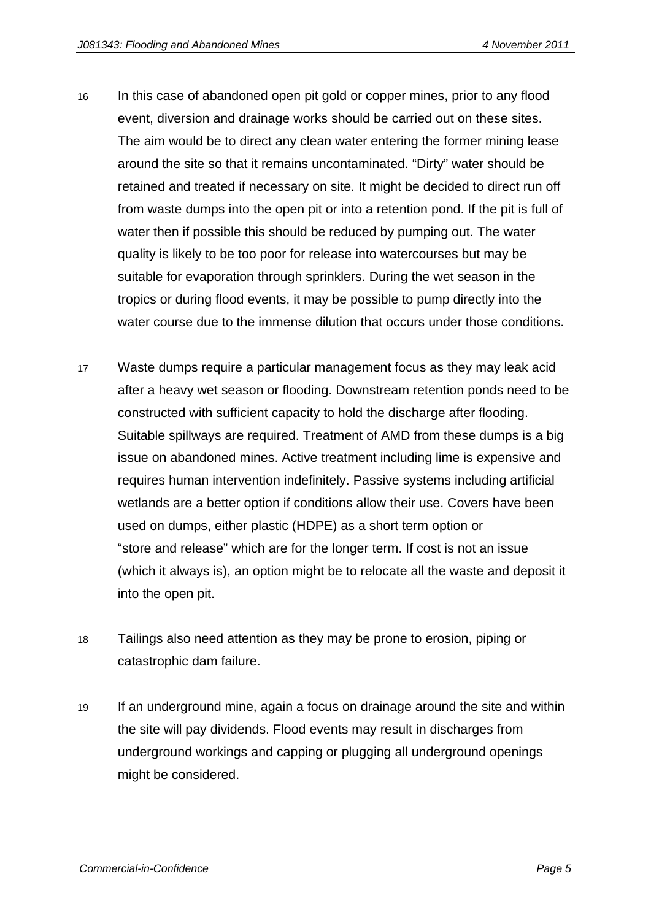- 16 In this case of abandoned open pit gold or copper mines, prior to any flood event, diversion and drainage works should be carried out on these sites. The aim would be to direct any clean water entering the former mining lease around the site so that it remains uncontaminated. "Dirty" water should be retained and treated if necessary on site. It might be decided to direct run off from waste dumps into the open pit or into a retention pond. If the pit is full of water then if possible this should be reduced by pumping out. The water quality is likely to be too poor for release into watercourses but may be suitable for evaporation through sprinklers. During the wet season in the tropics or during flood events, it may be possible to pump directly into the water course due to the immense dilution that occurs under those conditions.
- 17 Waste dumps require a particular management focus as they may leak acid after a heavy wet season or flooding. Downstream retention ponds need to be constructed with sufficient capacity to hold the discharge after flooding. Suitable spillways are required. Treatment of AMD from these dumps is a big issue on abandoned mines. Active treatment including lime is expensive and requires human intervention indefinitely. Passive systems including artificial wetlands are a better option if conditions allow their use. Covers have been used on dumps, either plastic (HDPE) as a short term option or "store and release" which are for the longer term. If cost is not an issue (which it always is), an option might be to relocate all the waste and deposit it into the open pit.
- 18 Tailings also need attention as they may be prone to erosion, piping or catastrophic dam failure.
- 19 If an underground mine, again a focus on drainage around the site and within the site will pay dividends. Flood events may result in discharges from underground workings and capping or plugging all underground openings might be considered.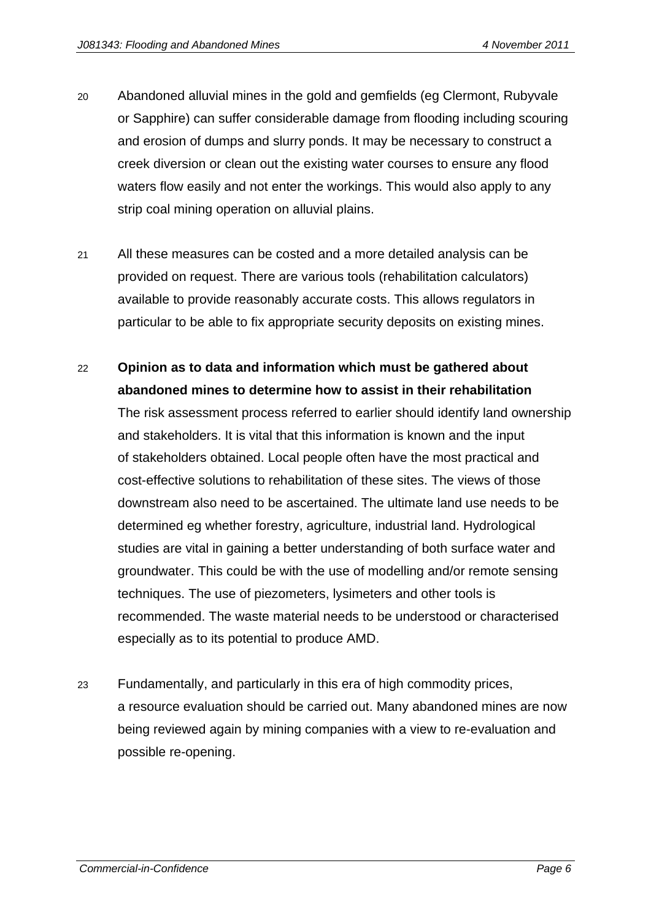- 20 Abandoned alluvial mines in the gold and gemfields (eg Clermont, Rubyvale or Sapphire) can suffer considerable damage from flooding including scouring and erosion of dumps and slurry ponds. It may be necessary to construct a creek diversion or clean out the existing water courses to ensure any flood waters flow easily and not enter the workings. This would also apply to any strip coal mining operation on alluvial plains.
- 21 All these measures can be costed and a more detailed analysis can be provided on request. There are various tools (rehabilitation calculators) available to provide reasonably accurate costs. This allows regulators in particular to be able to fix appropriate security deposits on existing mines.
- 22 **Opinion as to data and information which must be gathered about abandoned mines to determine how to assist in their rehabilitation**  The risk assessment process referred to earlier should identify land ownership and stakeholders. It is vital that this information is known and the input of stakeholders obtained. Local people often have the most practical and cost-effective solutions to rehabilitation of these sites. The views of those downstream also need to be ascertained. The ultimate land use needs to be determined eg whether forestry, agriculture, industrial land. Hydrological studies are vital in gaining a better understanding of both surface water and groundwater. This could be with the use of modelling and/or remote sensing techniques. The use of piezometers, lysimeters and other tools is recommended. The waste material needs to be understood or characterised especially as to its potential to produce AMD.
- 23 Fundamentally, and particularly in this era of high commodity prices, a resource evaluation should be carried out. Many abandoned mines are now being reviewed again by mining companies with a view to re-evaluation and possible re-opening.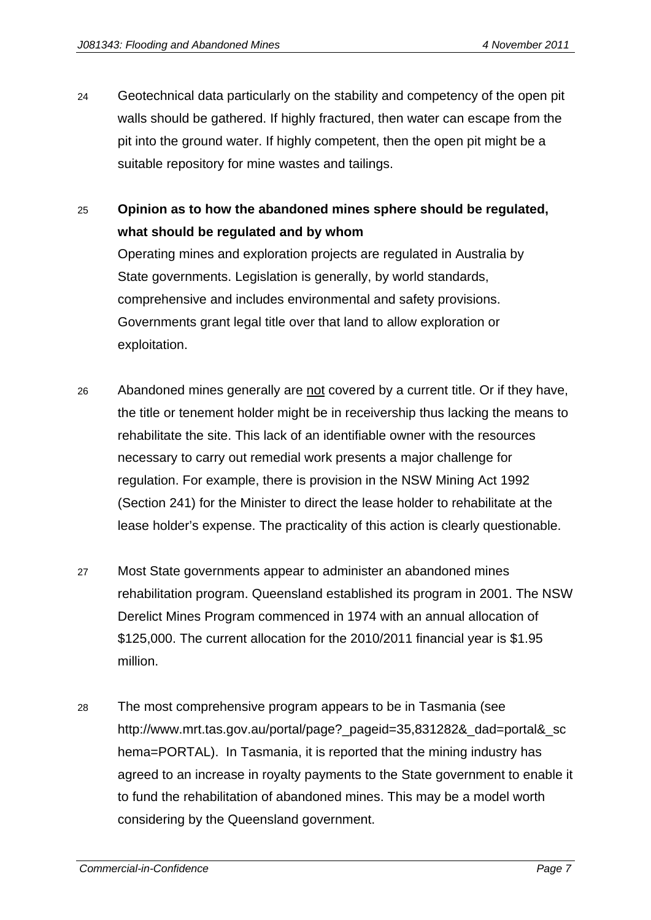- 24 Geotechnical data particularly on the stability and competency of the open pit walls should be gathered. If highly fractured, then water can escape from the pit into the ground water. If highly competent, then the open pit might be a suitable repository for mine wastes and tailings.
- 25 **Opinion as to how the abandoned mines sphere should be regulated, what should be regulated and by whom**

Operating mines and exploration projects are regulated in Australia by State governments. Legislation is generally, by world standards, comprehensive and includes environmental and safety provisions. Governments grant legal title over that land to allow exploration or exploitation.

- 26 Abandoned mines generally are not covered by a current title. Or if they have, the title or tenement holder might be in receivership thus lacking the means to rehabilitate the site. This lack of an identifiable owner with the resources necessary to carry out remedial work presents a major challenge for regulation. For example, there is provision in the NSW Mining Act 1992 (Section 241) for the Minister to direct the lease holder to rehabilitate at the lease holder's expense. The practicality of this action is clearly questionable.
- 27 Most State governments appear to administer an abandoned mines rehabilitation program. Queensland established its program in 2001. The NSW Derelict Mines Program commenced in 1974 with an annual allocation of \$125,000. The current allocation for the 2010/2011 financial year is \$1.95 million.
- 28 The most comprehensive program appears to be in Tasmania (see http://www.mrt.tas.gov.au/portal/page?\_pageid=35,831282&\_dad=portal&\_sc hema=PORTAL). In Tasmania, it is reported that the mining industry has agreed to an increase in royalty payments to the State government to enable it to fund the rehabilitation of abandoned mines. This may be a model worth considering by the Queensland government.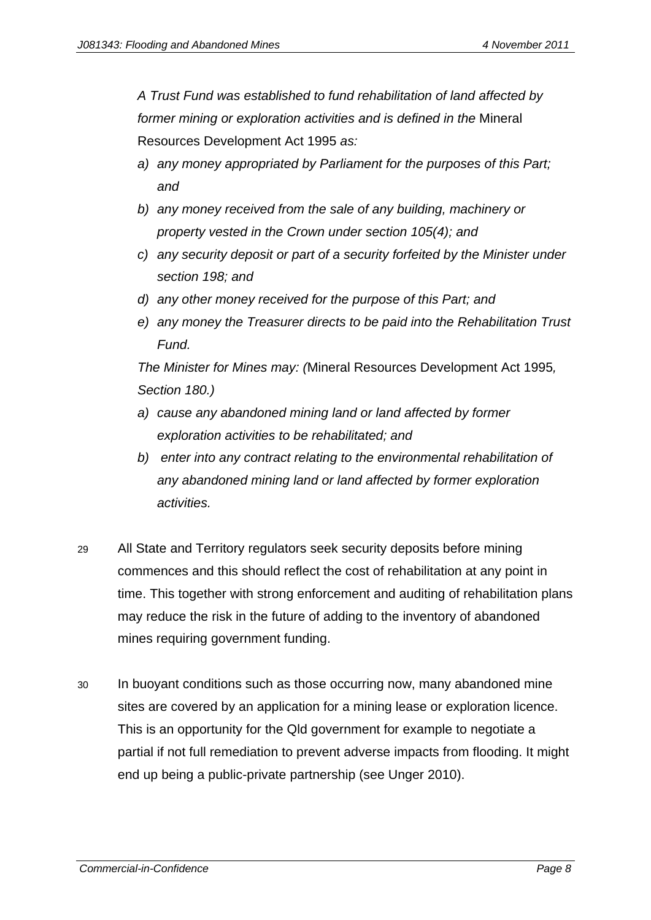*A Trust Fund was established to fund rehabilitation of land affected by former mining or exploration activities and is defined in the* Mineral Resources Development Act 1995 *as:* 

- *a) any money appropriated by Parliament for the purposes of this Part; and*
- *b) any money received from the sale of any building, machinery or property vested in the Crown under section 105(4); and*
- *c) any security deposit or part of a security forfeited by the Minister under section 198; and*
- *d) any other money received for the purpose of this Part; and*
- *e) any money the Treasurer directs to be paid into the Rehabilitation Trust Fund.*

*The Minister for Mines may: (*Mineral Resources Development Act 1995*, Section 180.)* 

- *a) cause any abandoned mining land or land affected by former exploration activities to be rehabilitated; and*
- *b) enter into any contract relating to the environmental rehabilitation of any abandoned mining land or land affected by former exploration activities.*
- 29 All State and Territory regulators seek security deposits before mining commences and this should reflect the cost of rehabilitation at any point in time. This together with strong enforcement and auditing of rehabilitation plans may reduce the risk in the future of adding to the inventory of abandoned mines requiring government funding.
- 30 In buoyant conditions such as those occurring now, many abandoned mine sites are covered by an application for a mining lease or exploration licence. This is an opportunity for the Qld government for example to negotiate a partial if not full remediation to prevent adverse impacts from flooding. It might end up being a public-private partnership (see Unger 2010).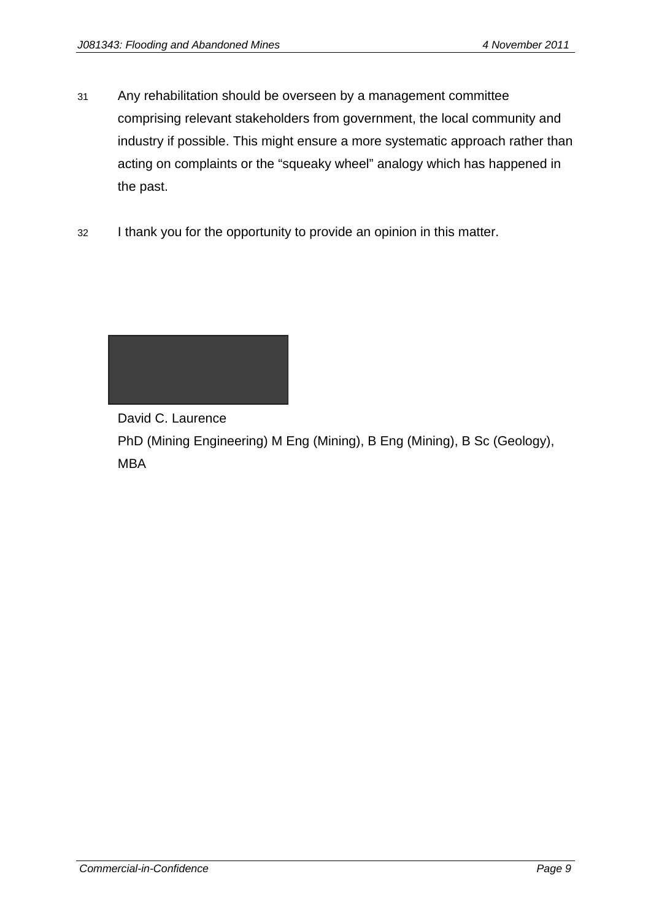- 31 Any rehabilitation should be overseen by a management committee comprising relevant stakeholders from government, the local community and industry if possible. This might ensure a more systematic approach rather than acting on complaints or the "squeaky wheel" analogy which has happened in the past.
- 32 I thank you for the opportunity to provide an opinion in this matter.



David C. Laurence

PhD (Mining Engineering) M Eng (Mining), B Eng (Mining), B Sc (Geology), MBA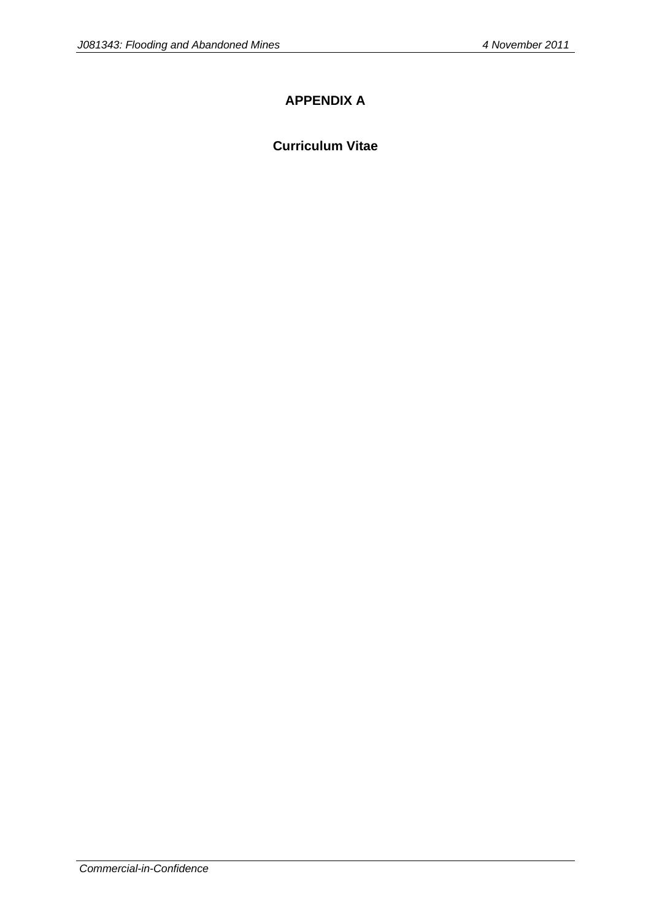## **APPENDIX A**

#### **Curriculum Vitae**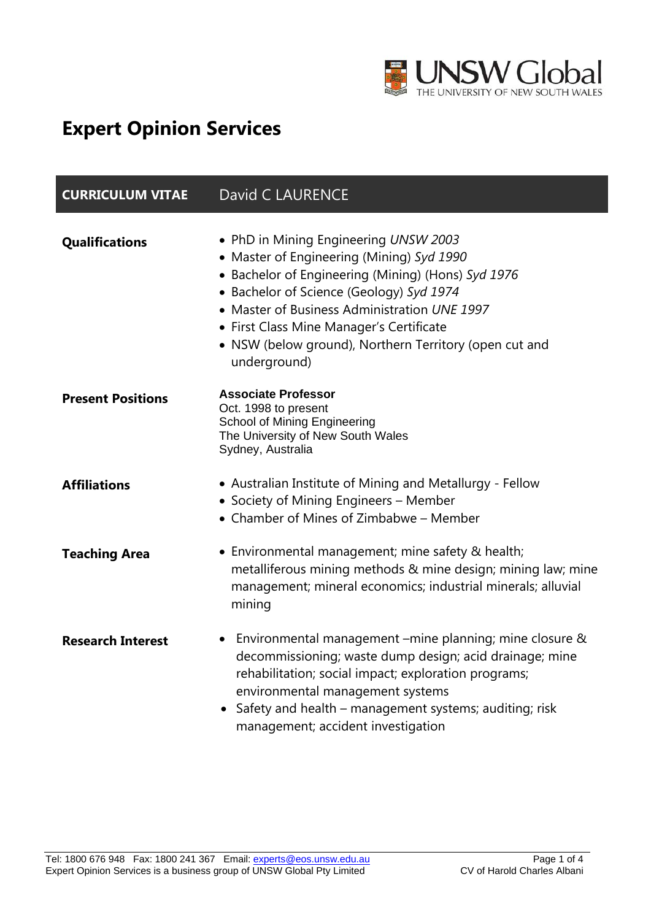

# **Expert Opinion Services**

| <b>CURRICULUM VITAE</b>  | <b>David C LAURENCE</b>                                                                                                                                                                                                                                                                                                                                    |
|--------------------------|------------------------------------------------------------------------------------------------------------------------------------------------------------------------------------------------------------------------------------------------------------------------------------------------------------------------------------------------------------|
| Qualifications           | . PhD in Mining Engineering UNSW 2003<br>• Master of Engineering (Mining) Syd 1990<br>• Bachelor of Engineering (Mining) (Hons) Syd 1976<br>• Bachelor of Science (Geology) Syd 1974<br>• Master of Business Administration UNE 1997<br>• First Class Mine Manager's Certificate<br>• NSW (below ground), Northern Territory (open cut and<br>underground) |
| <b>Present Positions</b> | <b>Associate Professor</b><br>Oct. 1998 to present<br><b>School of Mining Engineering</b><br>The University of New South Wales<br>Sydney, Australia                                                                                                                                                                                                        |
| <b>Affiliations</b>      | • Australian Institute of Mining and Metallurgy - Fellow<br>• Society of Mining Engineers - Member<br>• Chamber of Mines of Zimbabwe – Member                                                                                                                                                                                                              |
| <b>Teaching Area</b>     | • Environmental management; mine safety & health;<br>metalliferous mining methods & mine design; mining law; mine<br>management; mineral economics; industrial minerals; alluvial<br>mining                                                                                                                                                                |
| <b>Research Interest</b> | Environmental management –mine planning; mine closure &<br>decommissioning; waste dump design; acid drainage; mine<br>rehabilitation; social impact; exploration programs;<br>environmental management systems<br>Safety and health - management systems; auditing; risk<br>$\bullet$<br>management; accident investigation                                |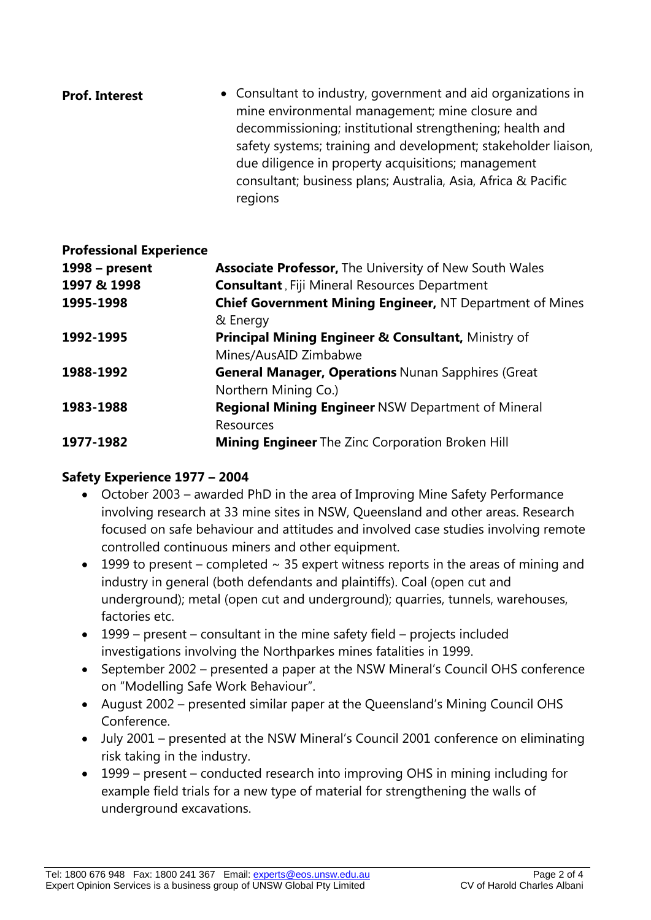| <b>Prof. Interest</b> | • Consultant to industry, government and aid organizations in<br>mine environmental management; mine closure and               |
|-----------------------|--------------------------------------------------------------------------------------------------------------------------------|
|                       | decommissioning; institutional strengthening; health and<br>safety systems; training and development; stakeholder liaison,     |
|                       | due diligence in property acquisitions; management<br>consultant; business plans; Australia, Asia, Africa & Pacific<br>regions |

#### **Professional Experience**

| 1998 – present | <b>Associate Professor, The University of New South Wales</b>   |
|----------------|-----------------------------------------------------------------|
| 1997 & 1998    | <b>Consultant</b> , Fiji Mineral Resources Department           |
| 1995-1998      | <b>Chief Government Mining Engineer, NT Department of Mines</b> |
|                | & Energy                                                        |
| 1992-1995      | <b>Principal Mining Engineer &amp; Consultant, Ministry of</b>  |
|                | Mines/AusAID Zimbabwe                                           |
| 1988-1992      | <b>General Manager, Operations Nunan Sapphires (Great</b>       |
|                | Northern Mining Co.)                                            |
| 1983-1988      | <b>Regional Mining Engineer NSW Department of Mineral</b>       |
|                | <b>Resources</b>                                                |
| 1977-1982      | <b>Mining Engineer</b> The Zinc Corporation Broken Hill         |

## **Safety Experience 1977 – 2004**

- October 2003 awarded PhD in the area of Improving Mine Safety Performance involving research at 33 mine sites in NSW, Queensland and other areas. Research focused on safe behaviour and attitudes and involved case studies involving remote controlled continuous miners and other equipment.
- 1999 to present completed  $\sim$  35 expert witness reports in the areas of mining and industry in general (both defendants and plaintiffs). Coal (open cut and underground); metal (open cut and underground); quarries, tunnels, warehouses, factories etc.
- 1999 present consultant in the mine safety field projects included investigations involving the Northparkes mines fatalities in 1999.
- September 2002 presented a paper at the NSW Mineral's Council OHS conference on "Modelling Safe Work Behaviour".
- August 2002 presented similar paper at the Queensland's Mining Council OHS Conference.
- July 2001 presented at the NSW Mineral's Council 2001 conference on eliminating risk taking in the industry.
- 1999 present conducted research into improving OHS in mining including for example field trials for a new type of material for strengthening the walls of underground excavations.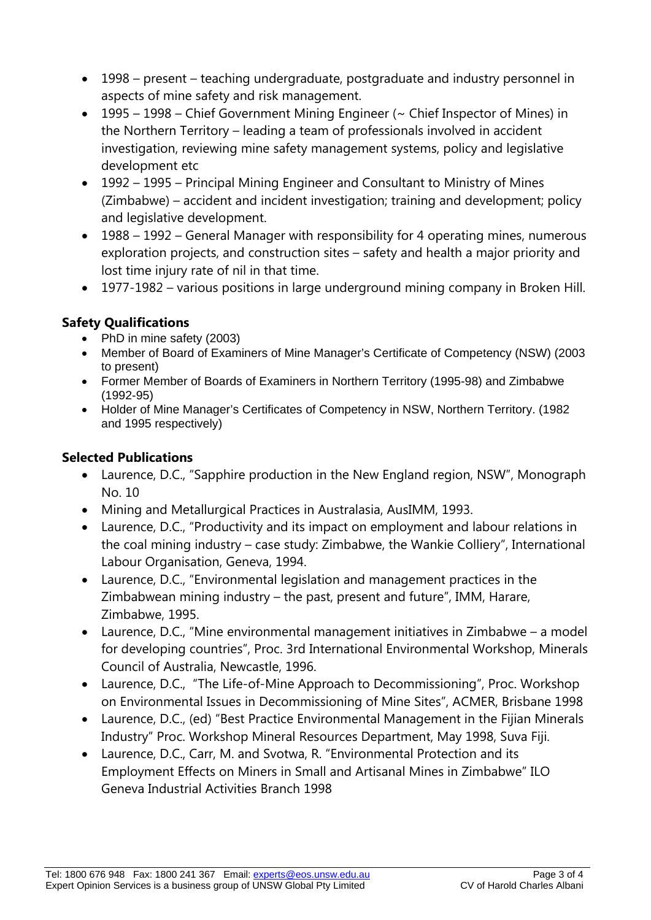- 1998 present teaching undergraduate, postgraduate and industry personnel in aspects of mine safety and risk management.
- 1995 1998 Chief Government Mining Engineer ( $\sim$  Chief Inspector of Mines) in the Northern Territory – leading a team of professionals involved in accident investigation, reviewing mine safety management systems, policy and legislative development etc
- 1992 1995 Principal Mining Engineer and Consultant to Ministry of Mines (Zimbabwe) – accident and incident investigation; training and development; policy and legislative development.
- 1988 1992 General Manager with responsibility for 4 operating mines, numerous exploration projects, and construction sites – safety and health a major priority and lost time injury rate of nil in that time.
- 1977-1982 various positions in large underground mining company in Broken Hill.

## **Safety Qualifications**

- PhD in mine safety (2003)
- Member of Board of Examiners of Mine Manager's Certificate of Competency (NSW) (2003 to present)
- Former Member of Boards of Examiners in Northern Territory (1995-98) and Zimbabwe (1992-95)
- Holder of Mine Manager's Certificates of Competency in NSW, Northern Territory. (1982 and 1995 respectively)

## **Selected Publications**

- Laurence, D.C., "Sapphire production in the New England region, NSW", Monograph No. 10
- Mining and Metallurgical Practices in Australasia, AusIMM, 1993.
- Laurence, D.C., "Productivity and its impact on employment and labour relations in the coal mining industry – case study: Zimbabwe, the Wankie Colliery", International Labour Organisation, Geneva, 1994.
- Laurence, D.C., "Environmental legislation and management practices in the Zimbabwean mining industry – the past, present and future", IMM, Harare, Zimbabwe, 1995.
- Laurence, D.C., "Mine environmental management initiatives in Zimbabwe a model for developing countries", Proc. 3rd International Environmental Workshop, Minerals Council of Australia, Newcastle, 1996.
- Laurence, D.C., "The Life-of-Mine Approach to Decommissioning", Proc. Workshop on Environmental Issues in Decommissioning of Mine Sites", ACMER, Brisbane 1998
- Laurence, D.C., (ed) "Best Practice Environmental Management in the Fijian Minerals Industry" Proc. Workshop Mineral Resources Department, May 1998, Suva Fiji.
- Laurence, D.C., Carr, M. and Svotwa, R. "Environmental Protection and its Employment Effects on Miners in Small and Artisanal Mines in Zimbabwe" ILO Geneva Industrial Activities Branch 1998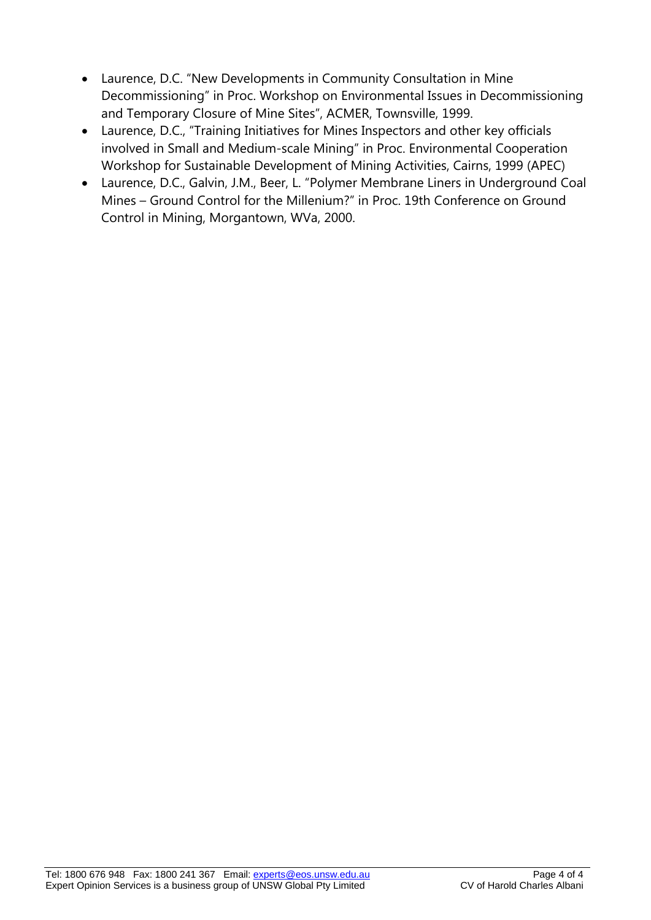- Laurence, D.C. "New Developments in Community Consultation in Mine Decommissioning" in Proc. Workshop on Environmental Issues in Decommissioning and Temporary Closure of Mine Sites", ACMER, Townsville, 1999.
- Laurence, D.C., "Training Initiatives for Mines Inspectors and other key officials involved in Small and Medium-scale Mining" in Proc. Environmental Cooperation Workshop for Sustainable Development of Mining Activities, Cairns, 1999 (APEC)
- Laurence, D.C., Galvin, J.M., Beer, L. "Polymer Membrane Liners in Underground Coal Mines – Ground Control for the Millenium?" in Proc. 19th Conference on Ground Control in Mining, Morgantown, WVa, 2000.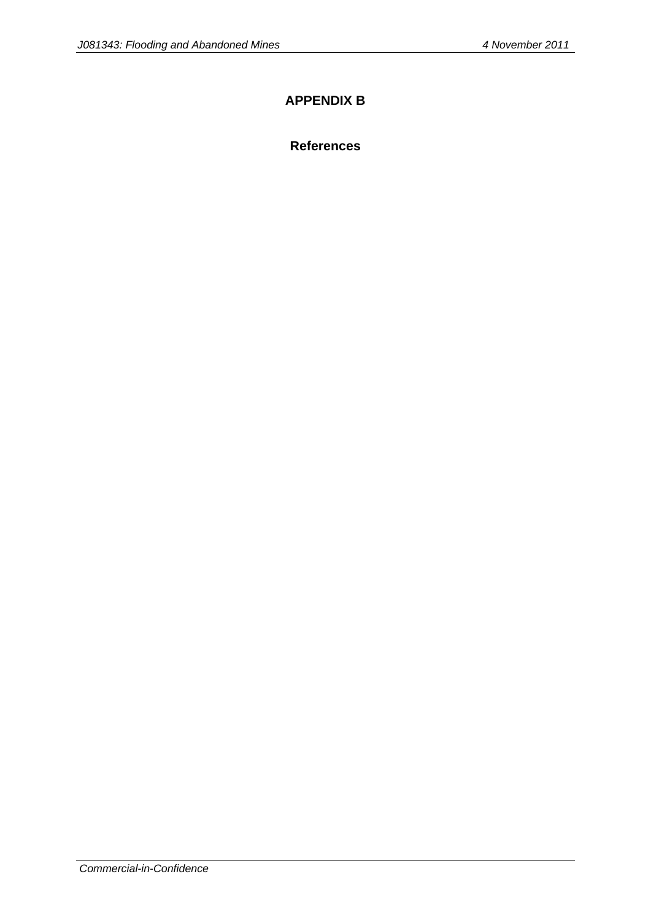### **APPENDIX B**

**References**